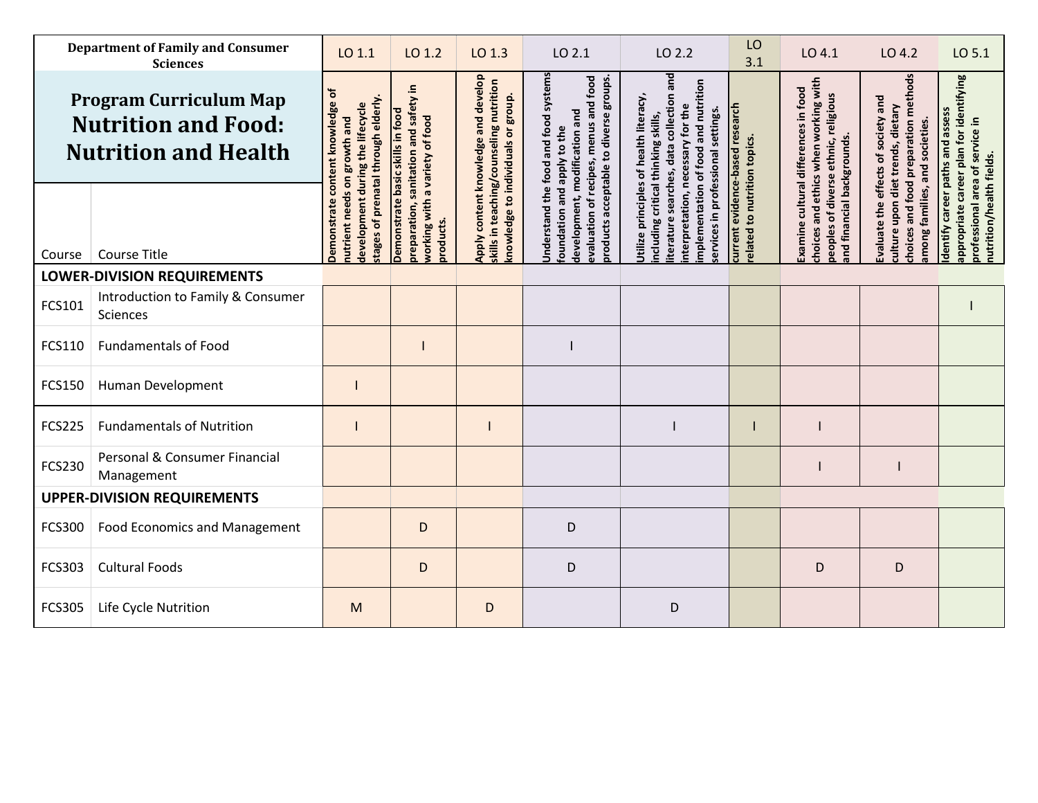| <b>Department of Family and Consumer</b><br><b>Sciences</b>                                |                                               | LO 1.1                                                                        | LO 1.2                                                                          | LO 1.3                                                                                                               | LO 2.1                                                                                                                 | LO 2.2                                                                                                                   | LO<br>3.1                                                       | LO 4.1                                                                                                               | LO 4.2                                                                      | LO 5.1                                                                                          |
|--------------------------------------------------------------------------------------------|-----------------------------------------------|-------------------------------------------------------------------------------|---------------------------------------------------------------------------------|----------------------------------------------------------------------------------------------------------------------|------------------------------------------------------------------------------------------------------------------------|--------------------------------------------------------------------------------------------------------------------------|-----------------------------------------------------------------|----------------------------------------------------------------------------------------------------------------------|-----------------------------------------------------------------------------|-------------------------------------------------------------------------------------------------|
| <b>Program Curriculum Map</b><br><b>Nutrition and Food:</b><br><b>Nutrition and Health</b> |                                               | ৳<br>stages of prenatal through elderly<br>content knowledge<br>on growth and | preparation, sanitation and safety in                                           | Apply content knowledge and develop<br>skills in teaching/counseling nutrition<br>knowledge to individuals or group. | Understand the food and food systems<br>evaluation of recipes, menus and food<br>products acceptable to diverse groups | iterature searches, data collection and<br>mplementation of food and nutrition<br>Utilize principles of health literacy, |                                                                 | choices and ethics when working with<br>Examine cultural differences in food<br>peoples of diverse ethnic, religious | choices and food preparation methods<br>Evaluate the effects of society and | appropriate career plan for identifying                                                         |
| Course                                                                                     | <b>Course Title</b>                           | development during the lifecycle<br>nutrient needs<br>Demonstrat              | Demonstrate basic skills in food<br>working with a variety of food<br>products. |                                                                                                                      | development, modification and<br>foundation and apply to the                                                           | interpretation, necessary for the<br>ervices in professional settings.<br>ncluding critical thinking skills,             | current evidence-based research<br>related to nutrition topics. | and financial backgrounds.                                                                                           | culture upon diet trends, dietary<br>among families, and societies.         | Identify career paths and assess<br>professional area of service in<br>nutrition/health fields. |
| <b>LOWER-DIVISION REQUIREMENTS</b>                                                         |                                               |                                                                               |                                                                                 |                                                                                                                      |                                                                                                                        |                                                                                                                          |                                                                 |                                                                                                                      |                                                                             |                                                                                                 |
| FCS101                                                                                     | Introduction to Family & Consumer<br>Sciences |                                                                               |                                                                                 |                                                                                                                      |                                                                                                                        |                                                                                                                          |                                                                 |                                                                                                                      |                                                                             |                                                                                                 |
| FCS110                                                                                     | <b>Fundamentals of Food</b>                   |                                                                               |                                                                                 |                                                                                                                      |                                                                                                                        |                                                                                                                          |                                                                 |                                                                                                                      |                                                                             |                                                                                                 |
| <b>FCS150</b>                                                                              | Human Development                             |                                                                               |                                                                                 |                                                                                                                      |                                                                                                                        |                                                                                                                          |                                                                 |                                                                                                                      |                                                                             |                                                                                                 |
| <b>FCS225</b>                                                                              | <b>Fundamentals of Nutrition</b>              |                                                                               |                                                                                 |                                                                                                                      |                                                                                                                        |                                                                                                                          |                                                                 |                                                                                                                      |                                                                             |                                                                                                 |
| <b>FCS230</b>                                                                              | Personal & Consumer Financial<br>Management   |                                                                               |                                                                                 |                                                                                                                      |                                                                                                                        |                                                                                                                          |                                                                 |                                                                                                                      |                                                                             |                                                                                                 |
| <b>UPPER-DIVISION REQUIREMENTS</b>                                                         |                                               |                                                                               |                                                                                 |                                                                                                                      |                                                                                                                        |                                                                                                                          |                                                                 |                                                                                                                      |                                                                             |                                                                                                 |
| FCS300                                                                                     | <b>Food Economics and Management</b>          |                                                                               | D                                                                               |                                                                                                                      | D                                                                                                                      |                                                                                                                          |                                                                 |                                                                                                                      |                                                                             |                                                                                                 |
| FCS303                                                                                     | <b>Cultural Foods</b>                         |                                                                               | D                                                                               |                                                                                                                      | D                                                                                                                      |                                                                                                                          |                                                                 | D                                                                                                                    | D                                                                           |                                                                                                 |
| <b>FCS305</b>                                                                              | Life Cycle Nutrition                          | M                                                                             |                                                                                 | D                                                                                                                    |                                                                                                                        | D                                                                                                                        |                                                                 |                                                                                                                      |                                                                             |                                                                                                 |